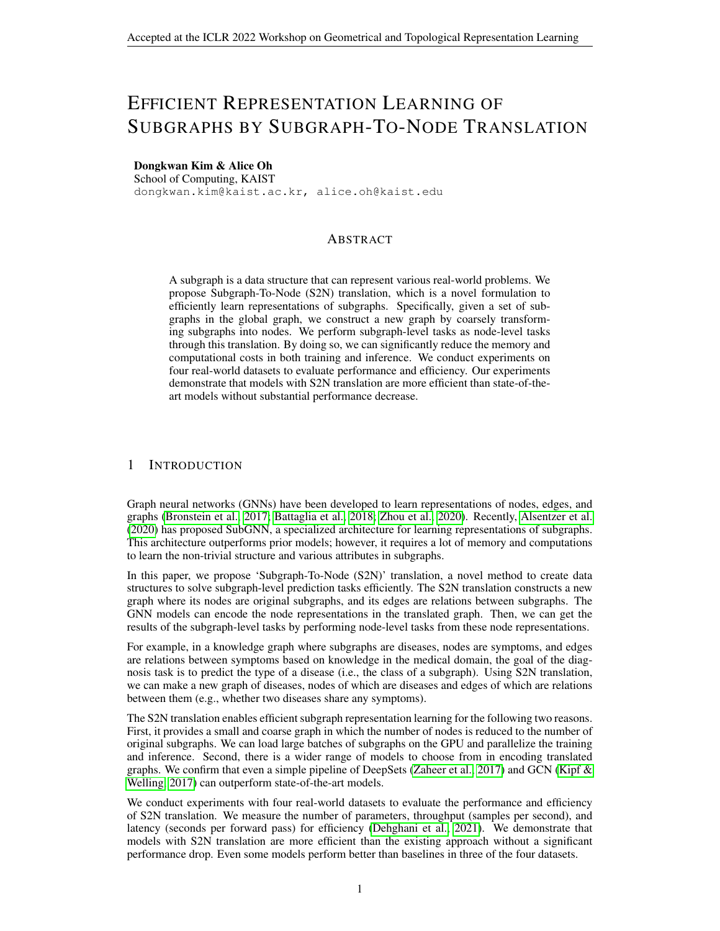# EFFICIENT REPRESENTATION LEARNING OF SUBGRAPHS BY SUBGRAPH-TO-NODE TRANSLATION

### Dongkwan Kim & Alice Oh

School of Computing, KAIST dongkwan.kim@kaist.ac.kr, alice.oh@kaist.edu

#### ABSTRACT

A subgraph is a data structure that can represent various real-world problems. We propose Subgraph-To-Node (S2N) translation, which is a novel formulation to efficiently learn representations of subgraphs. Specifically, given a set of subgraphs in the global graph, we construct a new graph by coarsely transforming subgraphs into nodes. We perform subgraph-level tasks as node-level tasks through this translation. By doing so, we can significantly reduce the memory and computational costs in both training and inference. We conduct experiments on four real-world datasets to evaluate performance and efficiency. Our experiments demonstrate that models with S2N translation are more efficient than state-of-theart models without substantial performance decrease.

#### 1 INTRODUCTION

Graph neural networks (GNNs) have been developed to learn representations of nodes, edges, and graphs (Bronstein et al., 2017; Battaglia et al., 2018; Zhou et al., 2020). Recently, Alsentzer et al. (2020) has proposed SubGNN, a specialized architecture for learning representations of subgraphs. This architecture outperforms prior models; however, it requires a lot of memory and computations to learn the non-trivial structure and various attributes in subgraphs.

In this paper, we propose 'Subgraph-To-Node (S2N)' translation, a novel method to create data structures to solve subgraph-level prediction tasks efficiently. The S2N translation constructs a new graph where its nodes are original subgraphs, and its edges are relations between subgraphs. The GNN models can encode the node representations in the translated graph. Then, we can get the results of the subgraph-level tasks by performing node-level tasks from these node representations.

For example, in a knowledge graph where subgraphs are diseases, nodes are symptoms, and edges are relations between symptoms based on knowledge in the medical domain, the goal of the diagnosis task is to predict the type of a disease (i.e., the class of a subgraph). Using S2N translation, we can make a new graph of diseases, nodes of which are diseases and edges of which are relations between them (e.g., whether two diseases share any symptoms).

The S2N translation enables efficient subgraph representation learning for the following two reasons. First, it provides a small and coarse graph in which the number of nodes is reduced to the number of original subgraphs. We can load large batches of subgraphs on the GPU and parallelize the training and inference. Second, there is a wider range of models to choose from in encoding translated graphs. We confirm that even a simple pipeline of DeepSets (Zaheer et al., 2017) and GCN (Kipf & Welling, 2017) can outperform state-of-the-art models.

We conduct experiments with four real-world datasets to evaluate the performance and efficiency of S2N translation. We measure the number of parameters, throughput (samples per second), and latency (seconds per forward pass) for efficiency (Dehghani et al., 2021). We demonstrate that models with S2N translation are more efficient than the existing approach without a significant performance drop. Even some models perform better than baselines in three of the four datasets.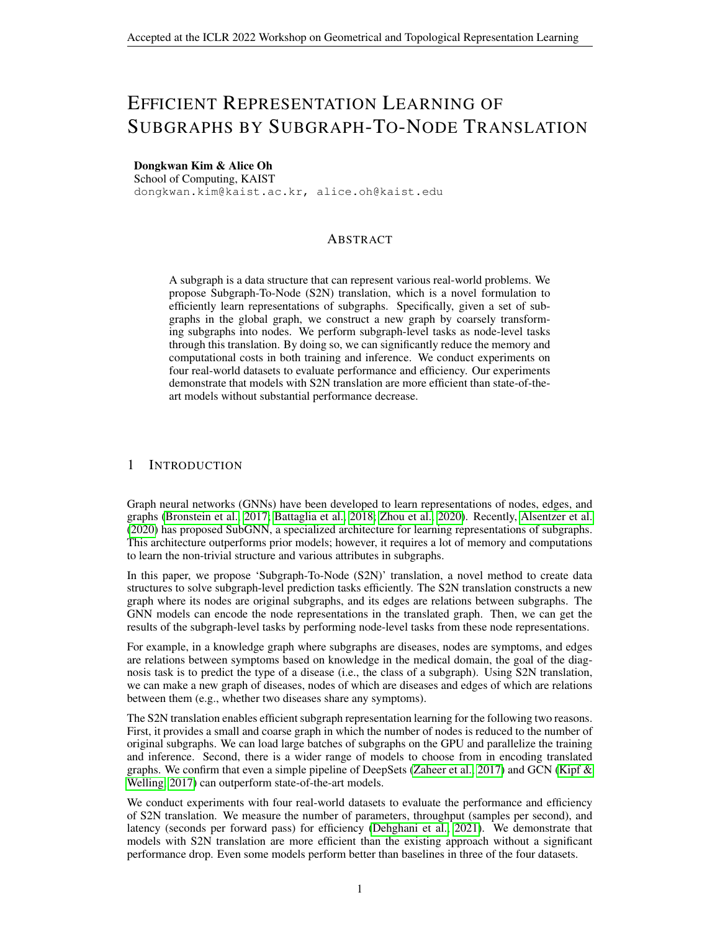

(a) The S2N translation. Subgraphs  $S_i$  and  $S_j$ are transformed into nodes  $\hat{v}_i$  and  $\hat{v}_j$  by  $T_v$ , and an edge  $\hat{e}_{ij}$  between them is formed by  $T_e$ .



Figure 1: Overview of the Subgraph-To-Node translation and the models for translated graphs.

#### 2 SUBGRAPH-TO-NODE TRANSLATION

We introduce the Subgraph-To-Node (S2N) translation and our specific design choices. We also suggest model families for the subgraph prediction task using S2N translated graphs.

Notations We first summarize the notations in the subgraph representation learning, particularly in the subgraph classification task. Let  $G = (\vee; A; X)$  be a global graph where  $\vee$  is a set of nodes  $(\mathcal{N}) = N$ ,  $\mathbf{A} \times \mathcal{D}$ ,  $1g^N N$  is an adjacency matrix, and  $\mathbf{X} \times \mathcal{D} R^{N} \rightarrow 0$  is a node feature matrix. A subgraph  $S = (\sqrt{\text{sub}}/\vec{A}^{\text{sub}})$  is a graph formed by subsets of nodes and edges in the global graph G. For the subgraph classification task, there is a set of M subgraphs  $S = FS_1; S_2; \dots; S_Mg$ , and for  $S_i = (\bigvee_i^{\text{sub}}; \overrightarrow{A_i^{\text{sub}}})$ , the goal is to learn its representation and the logit vector  $y_i \supset R^C$  where C is the number of classes.

**Overview of S2N Translation** The S2N translation reduces the memory and computational costs in the model training and inference by constructing a new coarse graph that summarizes the original subgraph into a node. As illustrated in Figure 1a, for each subgraph  $S_i$  2 S in the global graph G, we create a node  $\hat{v}_i = T_v(S_i)$  in the translated graph  $\hat{G}$ ; for all pairs  $(S_i; S_j)$  of two close subgraphs in G, we make an edge  $\hat{e}_{ij} = T_e(S_i; S_j)$  between corresponding nodes in  $\hat{G}$ . Here,  $T_v$  and  $T_e$  are translation functions for nodes and edges in  $\hat{G}$ , respectively. Formally, the S2N translated graph  $\hat{G} = (\hat{V}; \hat{A})$  where  $\hat{V}^j = M$  and  $\hat{A}^j \hat{Z} = f0$ ; 1g<sup>M M</sup> is defined by

$$
\hat{\mathbf{V}} = f \hat{\mathbf{v}}_i j \hat{\mathbf{v}}_i = T_{\mathbf{v}}(S_i); \ S_i \ 2 \, S g; \quad \hat{\mathbf{A}}[i,j] = \hat{\mathbf{e}}_{ij} = T_{\mathbf{e}}(S_i; S_j). \tag{1}
$$

We can choose any function for  $T_v$  and  $T_e$ . They can be simple heuristics or modeled with neural networks to learn the graph structure (Franceschi et al., 2019; Kim & Oh, 2021; Fatemi et al., 2021).

**Detailed Design of S2N Translation** In this paper, we choose straightforward designs of  $T_v$  and  $T_e$  with negligible translation costs. For  $T_v$ , we use a function that ignores the internal structure  $\mathbf{A}_i^{\text{sub}}$  of the subgraph  $S_i = (\vee_i^{\text{sub}}; \mathbf{A}_i^{\text{sub}})$  and treats the node as a set (i.e.,  $\vee_i^{\text{sub}}$ ). For  $T_e$ , we make an edge if at least one common node between two subgraphs  $S_i$  and  $S_j$ . They are defined as follows:

$$
\hat{v}_i = T_v(S_i) = \nabla_i^{\text{sub}}; \quad \hat{e}_{ij} = T_e(S_i; S_j) = \begin{cases} 1 & \text{if } \mathcal{N}_i^{\text{sub}} \setminus \nabla_j^{\text{sub}} \neq 0 \\ 0 & \text{otherwise} \end{cases} \tag{2}
$$

In some cases, this particular translation provides a more intuitive description for real-world problems than a form of subgraphs. For a fitness social network (EM-Userfrom Alsentzer et al. (2020) (subgraphs: users, nodes: workouts, edges: whether multiple users complete workouts), it will be translated into a network of users connected if they complete the same workouts. This graph directly expresses the relation between users and follows the conventional approach to express social networks where nodes are users.

Models for S2N Translated Graphs We propose simple but strong model pipelines for S2N translated graphs. Since the node  $\hat{v}_i$  is a set of original nodes in  $S_i$ , we first use a set encoder  $E_{\text{set}}$ :  $\hat{V}$  !  $\overline{R}^{\overline{F}}$  (Wagstaff et al., 2021) where F is a dimension of the representation. It takes a set of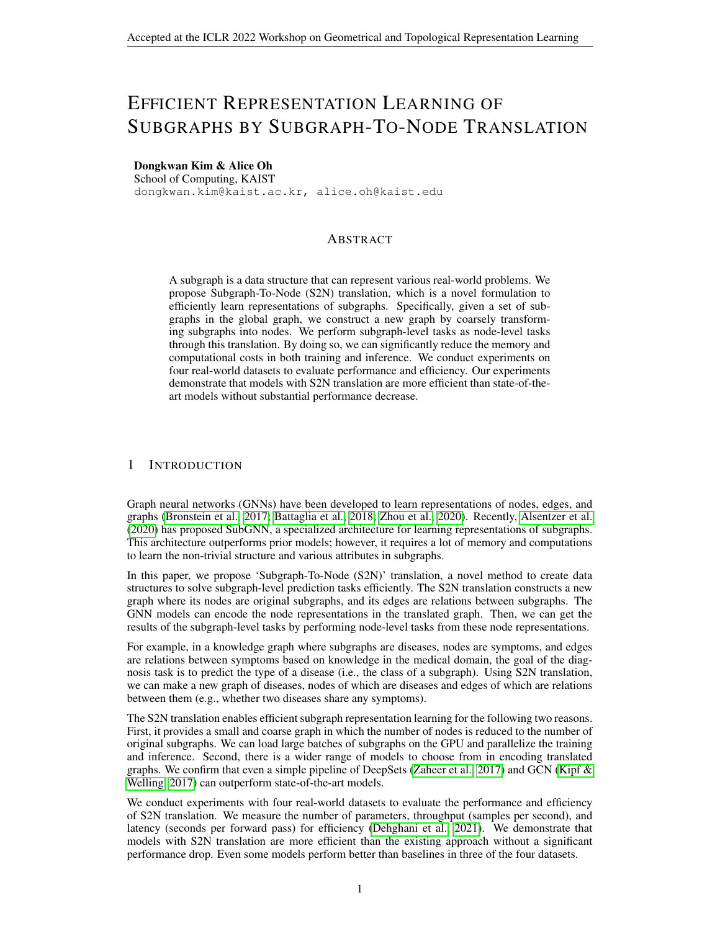|                                                            | PPI-RP        | HPO-Neuro                          | HPO-Metah   | EM-User                 |
|------------------------------------------------------------|---------------|------------------------------------|-------------|-------------------------|
| # nodes (before $after$ ) 17.1K! 1.6K                      |               | 14.6K! 4.0K 14.6K! 2.4K 57.3K! 324 |             |                         |
| # edges (before after) 317.0K! 55.7K 3.2M! 6.6M 3.2M! 2.5M |               |                                    |             | 4.6M! 87.2K             |
| Density (beford after)                                     | $0.002$ 0.021 | 0.030 0.413                        |             | 0.030 0.439 0.003 0.830 |
| # classes                                                  | 6             | 10                                 | ี           |                         |
| Node / Edge homophily                                      | 0.449/0.391   | 0.176/0.175                        | 0.195/0.189 | 0.514/0.511             |

Table 1: Statistics of real-world datasets before and after S2N translation.

node features i $\bm{\alpha}_i$  as an input and generates the represent $\bm{\hat{a}}$ id $\bm{\alpha}$  R<sup>F</sup> of  $\bm{\mathsf{v}}_i$  , that is,

$$
\hat{h}_i = E_{\text{sef}}(\hat{v}_i) = E_{\text{sef}}(V_i^{\text{sub}}) = E_{\text{sef}}(f \, x_u \, j \, x_u = X \, [u; :]; u \, 2 \, V_i^{\text{sub}}g): \tag{3}
$$

Then, given the node representat $\hat{\mathbf{h}}$ n we apply a graph encod $\mathbf{E}_{\mathsf{graph}}$ : R<sup>MF</sup> f 0; 1g<sup>MM</sup>! R<sup>M C</sup> to get the logit vecto $\psi_i$  2 R<sup>C</sup>. For the input and output  $\mathbf{d}_{graph}^T$  we use matrices 2  $R^{\text{M}}$  F and $\mathsf{Y}$  2  $R^{\text{M}}$  <sup>C</sup> where theith rows are  $\mathsf{A}_i$  and $\mathsf{y}_i$ , respectively.

$$
\hat{Y} = E_{graph}(H^2; A^2)
$$
 (4)

For E<sub>graph</sub>, we can take any GNNs that perform message-passing between nodes. This node-level message-passing on translated graphs is analogous to message-passing at the subgraph level in Sub-GNN (Alsentzer et al., 2020).

### 3 EXPERIMENTS

This section describes the experimental setup, including datasets, training, evaluation, and models.

Datasets We use four real-world dataset<sup>8</sup>, P. HPO-Neuro, HPO-Metab, and EM-User, introduced in Alsentzer et al. (2020). The task is subgraph classi cation where NodedgesA, and subgraph \$2 Sare given in datasets. There are two input node features etrained with GIN or GraphSAINT from the same paper. Detailed description and statistics are in Appendix B.

Training and Evaluation In the original setting from the SubGNN paper, evaluation (i.e., validation and test) samples cannot be seen during the training stage. Following this protocol, we create different S2N graphs for each stage using train and evaluation sets of subgraphs  $(G_{eval})$ . For the S2N translation, we use  $\hat{\mathbf{s}}_{\text{gain}}$  only in the training stage, and use both  $\hat{\mathbf{s}}_{\text{train}}$  [ S<sub>eval</sub> in the evaluation stage. That is, we predict unseen nodes based on structures translated from  $s_{\text{eval}}$ in the evaluation stage. In this respect, node classi cation on S2N translated graphs is inductive.

Models for S2N Translated Graphs We use two- or four-layer DeepSets (Zaheer et al., 2017) with sum or max operations  $\delta t_{\text{Set}}$  for all S2N models. Fo $E_{\text{graph}}$  we use well-known graph neural networks: GCN (Kipf & Welling, 2017) and GAT (Velković et al., 2018). In addition, LINKX (Lim et al., 2021) and FAGCN (Bo et al., 2021), models that perform well in non-homophilous graphs are employed. All GNNs are one- or two-layer models. See Appendix C.1 for their hyperparameters. Since LINKX is designed for the transductive setting, we make a small change in LINKX to work in the inductive setting. We call this variant LINKX-I. See Appendix C.2 for this modi cation.

Baselines We use current state-of-the-art models for subgraph classi-cation as baselines: Sub2Vec (Adhikari et al., 2018), Graph-level GIN (Xu et al., 2019), and SubGNN (Alsentzer et al., 2020). We report the best performance among three variants for Sub2Vec (N, S, and NS) and two results by different pretrained embeddings for SubGNN. All baselines results are reprinted from Alsentzer et al. (2020).

### 4 RESULTS

In this section, we analyze the characteristics of S2N translated graphs and compare our models and baselines on classi cation performance and ef ciency.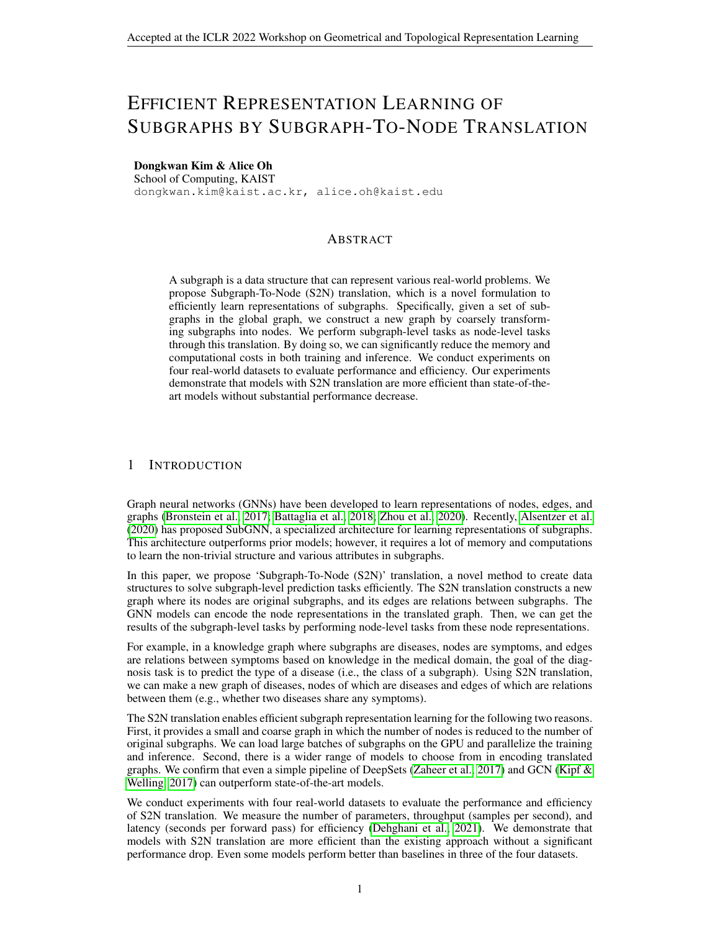Table 2: Summary of classi-cation performance in mean micro-F1 score over 10 random seeds for real-world datasets. Results of the unpairtest with the best baseline are denoted by colors and superscript : no statistically signi-cant difference, i.ep-value> : 05,

?: outperformed with-value  $\lt$  : 05). We mark with daggers  $\forall$  the reprinted results from Alsentzer et al. (2020).

| Model Model               | Embedding                | PPI-BP                  | <b>HPO-Neuro</b> | HPO-Metab               | EM-User       |
|---------------------------|--------------------------|-------------------------|------------------|-------------------------|---------------|
| Sub2Vec Best              | <b>Contract Contract</b> | 30:9 $_{2:3}$           | 22.3 $6:5$       | 13:2 $_{4:7}$           | $85.9$ 1:4    |
| Graph-level GIN           | <b>All Contracts</b>     | 39.8 $5.8$              | 53:5 $3:2$       | 45:2 $_{2:5}$           | 56:1 $_{5:9}$ |
| SubGNN                    | <b>GIN</b>               | 59.9 $_{2:4}$           | 63:2 $1:0$       | 53.7 $_{2:3}$           | 81:4 $4:6$    |
| SubGNN                    | GraphSAINT               | 58:3 $1:7$              | 64:4 $1.9$       | 42:8 $3:5$              | 81:6 $_{4:0}$ |
| $SSN + GCN$               | <b>GIN</b>               | 61:4 $1.6$              | 59:0 $_{0:7}$    | $\overline{51:6}$ 1:8   | 70.2 $2^{3}$  |
| $S2N + GCN$               | GraphSAINT               | 60.6 $1.2$              | 59.9 $_{0:7}$    | 50:6 $1.9$              | 69:0 $4:5$    |
| $S2N + GAT$               | <b>GIN</b>               | 60.8 $2.7$              | 53:1 $1.9$       | 47:9 $3:4$              | 71:4 $6:3$    |
| $S2N + GAT$               | <b>GraphSAINT</b>        | 60:4 $1:4$              | 54:6 $_{2:0}$    | 49:4 $4:5$              | 80.2 $_{4:8}$ |
| S2N + LINKX-I             | <b>GIN</b>               | 60:9 $1.8$              | 62.9 $1:1$       | $55.9$ <sub>2:6</sub>   | 83:3 $3:6$    |
| S <sub>2N</sub> + LINKX-I | GraphSAINT               | 61:3 $1:5$              | 629 $1:3$        | $57.9^{2}_{2.1}$        | 84:7 $_{2:9}$ |
| S2N + FAGCN               | <b>GIN</b>               | 62.8 <sup>2</sup> $1.2$ | 64:5 $1:3$       | 58:2 <sup>2</sup> $2.7$ | 80:0 $_{4:0}$ |
| S2N + FAGCN               | GraphSAINT               | 60:7<br>3.1             | 63:3 $1.1$       | 57:5 <sup>2</sup> 3.3   | 82.9 $3:7$    |

Analysis of S2N Translated Graphs Table 1 summarizes dataset statistics before and after S2N translation, including node (Pei et al., 2020) and edge homophily (Zhu et al., 2020). Except for HPO-Neuro, translated graphs have a smaller number of nod $\theta$ s006 - 0:03) and edges (0:17 – 0:78) than original graphs. For PO-Neuro, it has twice as many edges as the original graph, but has 0:27 fewer nodes. Since the number of edges decreased less than nodes, translated graphs are denser than originals (9:7 - 297). We also nd that they are non-homophilous (low homophily), which means there are many connected nodes of different classes.

Note that we propose multi-label node and edge homophily for multi-label datasens (euro): 0 1

$$
h^{\text{node, ml}} = \frac{1}{jVj} \sum_{v2V} \bigotimes_{jN} \frac{1}{(v)j} \frac{X}{\big|_{u2N} \big|_{(v)}} \frac{jL_u \setminus L_v j}{jL_u [L_v j]} A ; h^{\text{edge, ml}} = \frac{1}{jAj} \frac{X}{\big|_{(u;v)2A} \frac{jL_u \setminus L_v j}{jL_u [L_v j]}}; \tag{5}
$$

whereL<sub>v</sub> is a set of labels ov, N (v) is a set of neighbors of, andA = f (u; v)jA [u; v] = 1g. They generalize the existing multi-class homophily and we discuss more in Appendix D.

Performance In Table 2, we report the mean and standard deviation of micro-F1 score over ten runs of our models and baselines. LINKX-I and FAGCN, which are known to work well in nonhomophilous graphs, perform on par with or better than the best baseline in 12 of 16 cases. Here, `performance on par with the baseline' implies no signi cant difference from tthest at a level of 0.05 (: p-value  $>$  :05), which does not mean that our model is superior. FOFBP and HPO-Metab, some models even outperform SubGNN with statistical signi-cañcp-(value<:05). Notably, all S2N models outperform SubGNN in the -BP, which has relatively high homophily. GCN and GAT underperform LINKX-I and FAGCN for most experiments.

Ef ciency In Figure 2, we show the number of parameters, throughput (subgraphs per second), and latency (seconds per forward pass) of S2N models and SubGNR DoNeuro, HPO-Metab, and EM-User. We cannot experiment withPI-BP since it takes more than 48 hours in pre-computation. We make three observations in this gure. First, S2N models use fewer parameters and process many samples faster (i.e., higher throughput and lower latency) than SubGNN. In particular, for throughput, S2N models can process 8 to 300 times more samples than SubGNN for the same amount of time. Second, the training throughput is higher than the inference throughput in S2N models. Generally, as in SubGNN, throughput increases in the inference step, which does not require gradient calculation. This is because the S2N models use message-passing between training and inference samples (See §3). Thus, they compute both training and inference samples, requiring more computation for the inference stage. Lastly, as one exception to general trends, the training latency of GAT on HPO-Metab is higher than that of SubGNN. Note that latency ignores the parallelism from large batch sizes (Dehghani et al., 2021). Our model can show relatively high latency since it requires full batch computation. See Appendix E for the experimental setup.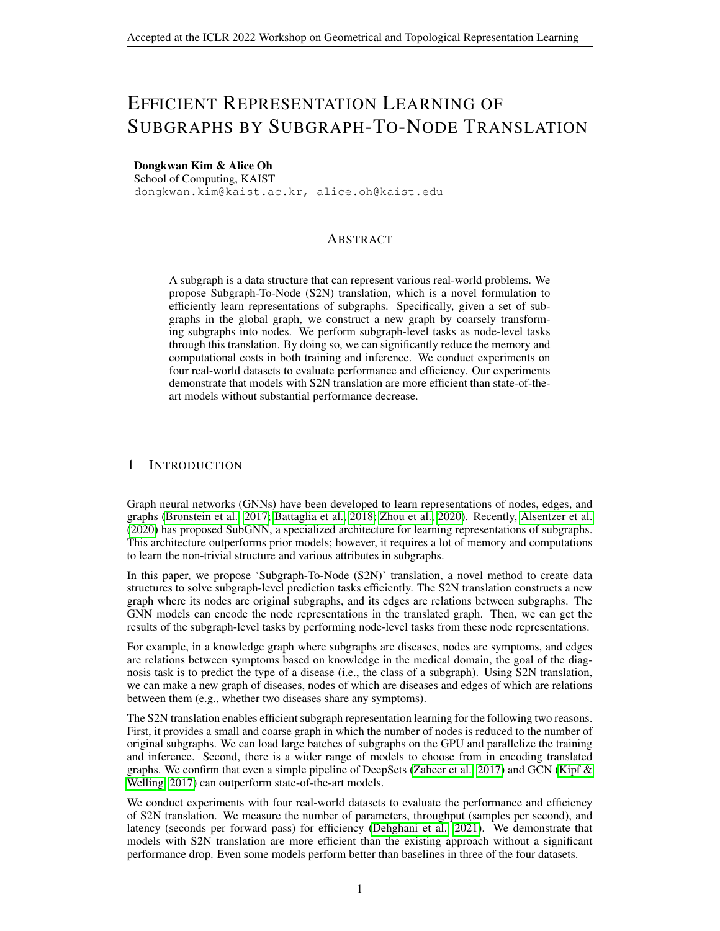(a) Ef ciency of S2N models and SubGNN diPO-Neuro.

(b) Ef ciency of S2N models and SubGNN driPO-Metab.

#### (c) Ef ciency of S2N models and SubGNN dEM-User.

Figure 2: The number of parameters, throughput, and latency of S2N models and SubGINN-on Neuro (Top),HPO-Metab (Middle) andEM-User (Bottom).

### 5 CONCLUSION AND FUTURE RESEARCH

We propose Subgraph-To-Node (S2N) translation, a novel way to learn representations of subgraphs ef ciently. Using S2N, we create a new graph where nodes are original subgraphs, edges are relations between subgraphs, and perform subgraph-level tasks as node-level tasks. S2N translation signi cantly reduces memory and computation costs without performance degradation.

There are limitations in this research. First, we used simple translate functions and did not explore them deeply.How do we de ne aggregated features and structures in translated gra**ßles** ond, we do not yet know the properties of subgraphs that affect the performance of the S2N translation. What properties of subgraphs can be learned after translation of these as future directions.

#### ACKNOWLEDGMENTS

This research was supported by the Engineering Research Center Program through the National Research Foundation of Korea (NRF) funded by the Korean Government MSIT (NRF-2018R1A5A1059921).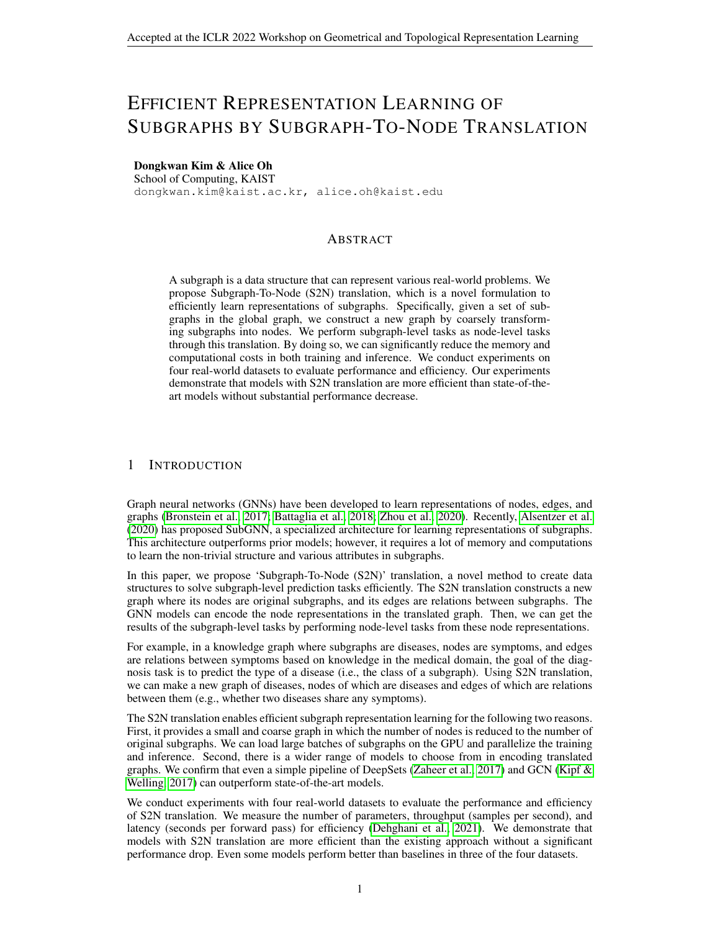#### **REFERENCES**

- Bijaya Adhikari, Yao Zhang, Naren Ramakrishnan, and B Aditya Prakash. Sub2vec: Feature learning for subgraphs. InPaci c-Asia Conference on Knowledge Discovery and Data Minippa 170–182. Springer, 2018.
- Takuya Akiba, Shotaro Sano, Toshihiko Yanase, Takeru Ohta, and Masanori Koyama. Optuna: A next-generation hyperparameter optimization framework. Proceedings of the 25th ACM SIGKDD international conference on knowledge discovery & amp; data minim  $Q$ 623–2631, 2019.
- Emily Alsentzer, Samuel G Finlayson, Michelle M Li, and Marinka Zitnik. Subgraph neural networks. Proceedings of Neural Information Processing Systems, Neurlars.
- Michael Ashburner, Catherine A Ball, Judith A Blake, David Botstein, Heather Butler, J Michael Cherry, Allan P Davis, Kara Dolinski, Selina S Dwight, Janan T Eppig, et al. Gene ontology: tool for the uni cation of biology.Nature genetics25(1):25–29, 2000.
- Peter W Battaglia, Jessica B Hamrick, Victor Bapst, Alvaro Sanchez-Gonzalez, Vinicius Zambaldi, Mateusz Malinowski, Andrea Tacchetti, David Raposo, Adam Santoro, Ryan Faulkner, et al. Relational inductive biases, deep learning, and graph networks. preprint arXiv:1806.01261 2018.
- Deyu Bo, Xiao Wang, Chuan Shi, and Huawei Shen. Beyond low-frequency information in graph convolutional networks. InProceedings of the AAAI Conference on Arti cial Intelligencelume 35, pp. 3950–3957, 2021.
- Giorgos Bouritsas, Fabrizio Frasca, Stefanos Zafeiriou, and Michael M Bronstein. Improving graph neural network expressivity via subgraph isomorphism countian iv preprint arXiv:2006.092522020.
- Gecia Bravo Hermsdorff and Lee Gunderson. A unifying framework for spectrum-preserving graph sparsi cation and coarsening dvances in Neural Information Processing Syste32s2019.
- Michael M Bronstein, Joan Bruna, Yann LeCun, Arthur Szlam, and Pierre Vandergheynst. Geometric deep learning: going beyond euclidean dateral E Signal Processing Magazin 34(4):18–42, 2017.
- Chen Cai, Dingkang Wang, and Yusu Wang. Graph coarsening with neural networlksterhational Conference on Learning Representations 21. URLhttps://openreview.net/ forum?id=uxpzitPEooJ .
- Wei-Lin Chiang, Xuanqing Liu, Si Si, Yang Li, Samy Bengio, and Cho-Jui Hsieh. Cluster-gcn: An ef cient algorithm for training deep and large graph convolutional networks. Proceedings of the 25th ACM SIGKDD International Conference on Knowledge Discovery & Data Mining 257–266, 2019.
- Gene Ontology Consortium. The gene ontology resource: 20 years and still going stheorietic acids research47(D1):D330-D338, 2019.
- Mostafa Dehghani, Anurag Arnab, Lucas Beyer, Ashish Vaswani, and Yi Tay. The ef ciency misnomer.arXiv preprint arXiv:2110.1289,42021.
- Chenhui Deng, Zhiqiang Zhao, Yongyu Wang, Zhiru Zhang, and Zhuo Feng. Graphzoom: A multilevel spectral approach for accurate and scalable graph embeddinguternational Conference on Learning Representations 20. URLhttps://openreview.net/forum?id= r1lGO0EKDH.
- William Falcon and The PyTorch Lightning team. PyTorch Lightning, 3 2019. URIDS: //github.com/PyTorchLightning/pytorch-lightning .
- Bahare Fatemi, Layla El Asri, and Seyed Mehran Kazemi. Slaps: Self-supervision improves structure learning for graph neural networks. And an equal Information Processing Systems 2021.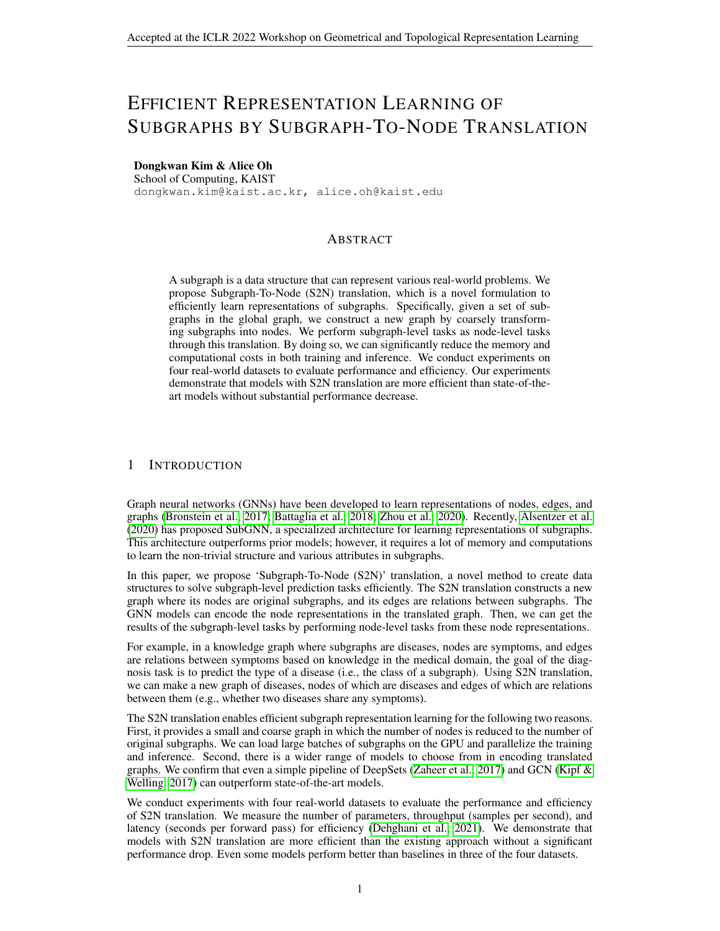- Matthias Fey and Jan E. Lenssen. Fast graph representation learning with PyTorch Geometric. In International Conference on Learning Representations Workshop on Representation Learning on Graphs and Manifolds 2019.
- Luca Franceschi, Mathias Niepert, Massimiliano Pontil, and Xiao He. Learning discrete structures for graph neural networks. International conference on machine learning p. 1972–1982. PMLR, 2019.
- William L Hamilton, Rex Ying, and Jure Leskovec. Inductive representation learning on large graphs. InProceedings of the 31st International Conference on Neural Information Processing Systemspp. 1025-1035, 2017.
- Taila Hartley, Gabrielle Lemire, Kristin D Kernohan, Heather E Howley, David R Adams, and Kym M Boycott. New diagnostic approaches for undiagnosed rare genetic diseases all review of genomics and human genetics: 351-372, 2020.
- Zengfeng Huang, Shengzhong Zhang, Chong Xi, Tang Liu, and Min Zhou. Scaling up graph neural networks via graph coarsening. Proceedings of the 27th ACM SIGKDD Conference on Knowledge Discovery & Data Miningpp. 675–684, 2021.
- Sergey Ioffe and Christian Szegedy. Batch normalization: Accelerating deep network training by reducing internal covariate shift. International conference on machine learning 0.448–456. PMLR, 2015.
- Yu Jin, Andreas Loukas, and Joseph JaJa. Graph coarsening with preserved spectral properties. In International Conference on Arti cial Intelligence and Statistipp. 4452-4462. PMLR, 2020.
- Dongkwan Kim and Alice Oh. How to nd your friendly neighborhood: Graph attention design with self-supervision. In International Conference on Learning Representations 1. URL https://openreview.net/forum?id=Wi5KUNlqWty .
- Thomas N. Kipf and Max Welling. Semi-supervised classi cation with graph convolutional networks. InInternational Conference on Learning Representations 7.
- Sebastian Köhler, Leigh Carmody, Nicole Vasilevsky, Julius O B Jacobsen, Daniel Danis, Jean-Philippe Gourdine, Michael Gargano, Nomi L Harris, Nicolas Matentzoglu, Julie A McMurry, et al. Expansion of the human phenotype ontology (hpo) knowledge base and resolundesc acids research47(D1):D1018-D1027, 2019.
- Derek Lim, Felix Hohne, Xiuyu Li, Sijia Linda Huang, Vaishnavi Gupta, Omkar Bhalerao, and Ser Nam Lim. Large scale learning on non-homophilous graphs: New benchmarks and strong simple methodsAdvances in Neural Information Processing System4s2021.
- Andreas Loukas. Graph reduction with spectral and cut guaraniees al of Machine Learning Research20:1-42, 2019.
- Andreas Loukas and Pierre Vandergheynst. Spectrally approximating large graphs with smaller graphs. InInternational Conference on Machine Learning . 3237–3246. PMLR, 2018.
- Changping Meng, S Chandra Mouli, Bruno Ribeiro, and Jennifer Neville. Subgraph pattern neural networks for high-order graph evolution prediction. Proceedings of the AAAI Conference on Arti cial Intelligence, volume 32, 2018.
- Dylan Mordaunt, David Cox, and Maria Fuller. Metabolomics to improve the diagnostic ef ciency of inborn errors of metabolismenternational journal of molecular science 81(4):1195, 2020.
- Christopher Morris, Martin Ritzert, Matthias Fey, William L Hamilton, Jan Eric Lenssen, Gaurav Rattan, and Martin Grohe. Weisfeiler and leman go neural: Higher-order graph neural networks. In Proceedings of the AAAI Conference on Arti cial Intelligencelume 33, pp. 4602-4609, 2019.
- Jianmo Ni, Larry Muhlstein, and Julian McAuley. Modeling heart rate and activity data for personalized tness recommendation. The World Wide Web Conferencep. 1343–1353, 2019.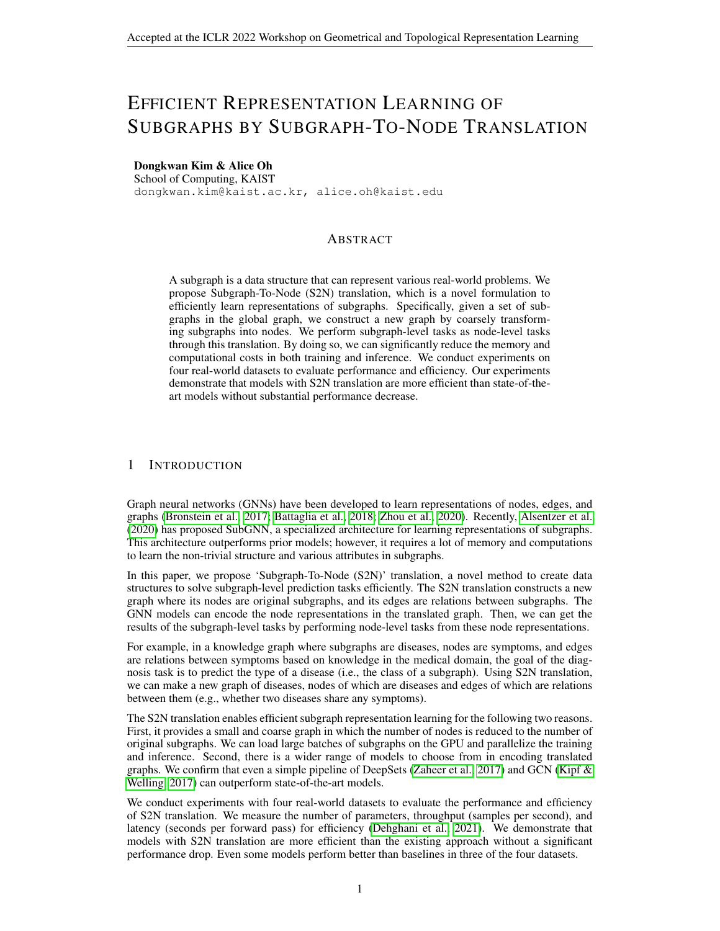Mathias Niepert, Mohamed Ahmed, and Konstantin Kutzkov. Learning convolutional neural networks for graphs. Ininternational conference on machine learning 0.2014–2023. PMLR, 2016.

- Adam Paszke, Sam Gross, Francisco Massa, Adam Lerer, James Bradbury, Gregory Chanan, Trevor Killeen, Zeming Lin, Natalia Gimelshein, Luca Antiga, et al. Pytorch: An imperative style, highperformance deep learning library. Advances in neural information processing systems 8026–8037, 2019.
- Hongbin Pei, Bingzhe Wei, Kevin Chen-Chuan Chang, Yu Lei, and Bo Yang. Geom-gcn: Geometric graph convolutional networks. International Conference on Learning Representations ... URL https://openreview.net/forum?id=S1e2agrFvS .
- Jiezhong Qiu, Qibin Chen, Yuxiao Dong, Jing Zhang, Hongxia Yang, Ming Ding, Kuansan Wang, and Jie Tang. Gcc: Graph contrastive coding for graph neural network pre-trainine podeedings of the 26th ACM SIGKDD International Conference on Knowledge Discovery & amp; Data Mining, pp. 1150–1160, 2020.
- Aravind Subramanian, Pablo Tamayo, Vamsi K Mootha, Sayan Mukherjee, Benjamin L Ebert, Michael A Gillette, Amanda Paulovich, Scott L Pomeroy, Todd R Golub, Eric S Lander, et al. Gene set enrichment analysis: a knowledge-based approach for interpreting genome-wide expression pro-les. Proceedings of the National Academy of Scient 62(43):15545-15550, 2005.
- Petar Velicković, Guillem Cucurull, Arantxa Casanova, Adriana Romero, Pietro Lind Yoshua Bengio. Graph Attention Networks. International Conference on Learning Representations 2018. URLhttps://openreview.net/forum?id=rJXMpikCZ .
- Edward Wagstaff, Fabian B Fuchs, Martin Engelcke, Michael A Osborne, and Ingmar Posner. Universal approximation of functions on sets. Xiv preprint arXiv:2107.01959021.
- Keyulu Xu, Weihua Hu, Jure Leskovec, and Stefanie Jegelka. How powerful are graph neural networks? InInternational Conference on Learning Representations19. URLhttps: //openreview.net/forum?id=ryGs6iA5Km .
- Yuning You, Tianlong Chen, Yongduo Sui, Ting Chen, Zhangyang Wang, and Yang Shen. Graph contrastive learning with augmentation Advances in Neural Information Processing Systems 33, 2020.
- Manzil Zaheer, Satwik Kottur, Siamak Ravanbakhsh, Barnabas Poczos, Russ R Salakhutdinov, and Alexander J Smola. Deep setsdvances in neural information processing systems 2017.
- Hanqing Zeng, Hongkuan Zhou, Ajitesh Srivastava, Rajgopal Kannan, and Viktor Prasanna. Graphsaint: Graph sampling based inductive learning methothternational Conference on Learning Representation 2020. URLhttps://openreview.net/forum?id=BJe8pkHFwS
- Jie Zhou, Ganqu Cui, Shengding Hu, Zhengyan Zhang, Cheng Yang, Zhiyuan Liu, Lifeng Wang, Changcheng Li, and Maosong Sun. Graph neural networks: A review of methods and applications.AI Open, 1:57–81, 2020.
- Jiong Zhu, Yujun Yan, Lingxiao Zhao, Mark Heimann, Leman Akoglu, and Danai Koutra. Beyond homophily in graph neural networks: Current limitations and effective designationnes in Neural Information Processing Syster<sup>88</sup>:7793-7804, 2020.
- Marinka Zitnik, Rok Sosic, and Jure Leskovec. Biosnap datasets: Stanford biomedical network dataset collection.Note: http://snap. stanford. edu/biodata Cited  $5/1$ , 2018.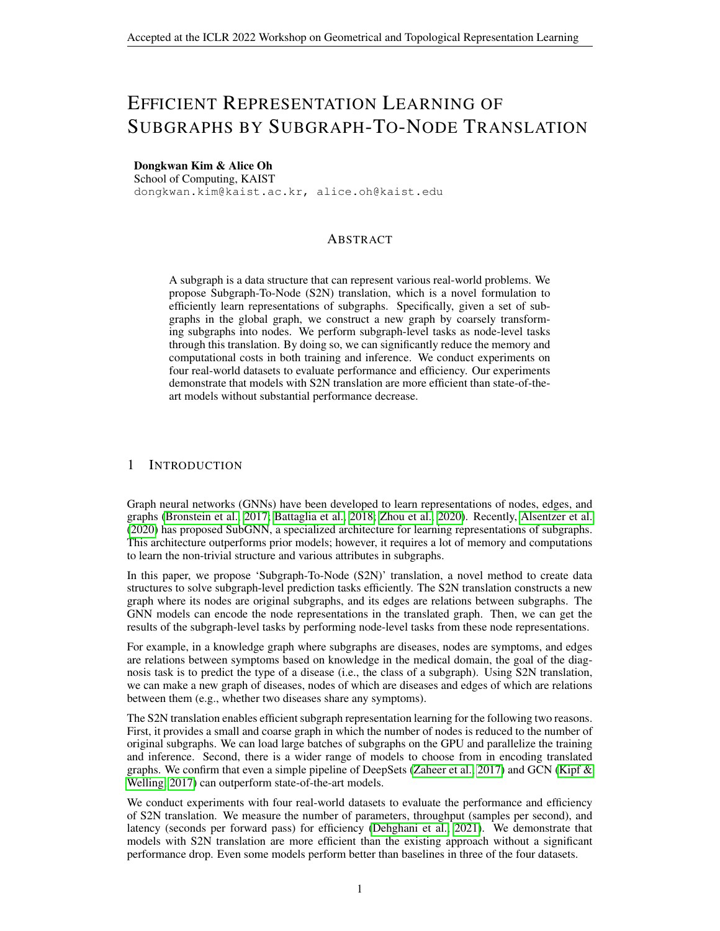|                                 | PPI-BP       | HPO-Neuro                | HPO-Metab          | <b>EM-User</b>     |
|---------------------------------|--------------|--------------------------|--------------------|--------------------|
| $#$ nodes                       | 17,080       | 14,587                   | 14,587             | 57,333             |
| $#$ edges                       | 316,951      | 3,238,174                | 3,238,174          | 4,573,417          |
| # subgraphs                     | 1.591        | 4.000                    | 2.400              | 324                |
| Train/Valid/Test splits         | 80/10/10     | 80/10/10                 | 80/10/10           | 75/15/15           |
| Density of the global graph     | 0.0022       | 0.0304                   | 0.0304             | 0.0028             |
| Average # nodes / subgraph      | $10_{12.5}$  | $14.8_{6:5}$             | $14.4_{6:2}$       | $155.4_{100:2}$    |
| Average density of subgraphs    | $0.216_{88}$ | $0.767$ <sub>0:141</sub> | $0.757$ $_{0:149}$ | $0.010$ $_{0.006}$ |
| Average # components / subgraph | 75.0         | 1.5 $_{0:7}$             | 1.6 $_{0:7}$       | 52.1 $_{15:3}$     |
| # classes                       | 6            | 10                       | 6                  |                    |
| Single- or multi-label          | Single-label | Multi-label              | Single-label       | Single-label       |

Table 3: Statistics of real-world datasets in original forms (before S2N translation).

# A RELATED WORK

Subgraph Representation Learning There have been various approaches to use subgraphs for expressiveness (Niepert et al., 2016; Morris et al., 2019; Bouritsas et al., 2020), scalability (Hamilton et al., 2017; Chiang et al., 2019; Zeng et al., 2020), and augmentation (Qiu et al., 2020; You et al., 2020). However, only a few studies deal with learning representations of subgraphs. The Subgraph Pattern Neural Network (Meng et al., 2018) learns subgraph evolution patterns but does not generalize to subgraphs with varying sizes. The Subgraph Neural Network (SubGNN) (Alsentzer et al., 2020) is the rst approach of subgraph representation learning using topology, positions, and connectivity. However, SubGNN requires large memory and computation costs to encode the mentioned information for prediction. Our method allows ef cient learning of subgraph representations without a complex model design.

Graph Coarsening Our S2N translation summarizes subgraphs into nodes, and in that sense, it is related to graph coarsening methods (Loukas & Vandergheynst, 2018; Loukas, 2019; Bravo Hermsdorff & Gunderson, 2019; Jin et al., 2020; Deng et al., 2020; Cai et al., 2021; Huang et al., 2021). They focus on creating coarse graphs while preserving speci c properties in a given graph, such as spectral similarity or distance. The difference between them and ours is whether the node boundaries in coarse graphs (or super-nodes) are given or not. Super-nodes are unknown in existing works of graph coarsening; thus, algorithms to decide on super-nodes are required. In S2N translation, we treat subgraphs as super-nodes and can create coarse graphs with simple heuristics.

# B DATASETS

Subgraph datasetsPI-BP, HPO-Neuro, HPO-Metab, and EM-User are proposed in Alsentzer et al. (2020), and can be downloaded from the GitHub repositoly Table 3, we summarize statistics of datasets in original forms without S2N translation. We describe their nodes, edges, subgraphs, tasks, and references in the following paragraphs.

PPI-BP The global graph ofPPI-BP (Zitnik et al., 2018; Subramanian et al., 2005; Consortium, 2019; Ashburner et al., 2000) is a human protein-protein interaction (PPI) network; nodes are proteins, and edges are whether there is a physical interaction between proteins. Subgraphs are sets of proteins in the same biological process (e.g., alcohol bio-synthetic process). The task is to classify processes into six categories.

HPO-Neuro and HPO-Metab These two HPO (Human Phenotype Ontology) datasets (Hartley et al., 2020; Köhler et al., 2019; Mordaunt et al., 2020) are knowledge graphs of phenotypes (i.e., symptoms) of rare neurological and metabolic diseases. Each subgraph is a collection of symptoms associated with a monogenic disorder. The task is to diagnose the rare disease: classifying the disease type among subcategories (ten for Neuro and six for HPO-Metab).

<sup>1</sup> https://github.com/mims-harvard/SubGNN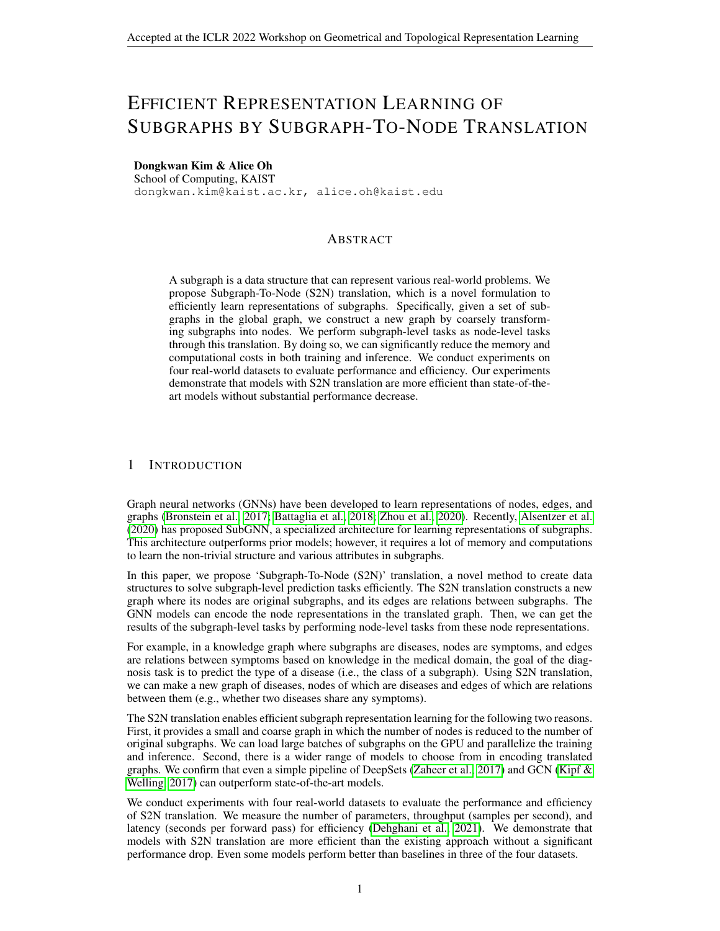EM-User EM-User (Users in EndoMondo) dataset is a social tness network from Endomondo (Ni et al., 2019). Here, subgraphs are users, nodes are workouts, and edges exist between workouts completed by multiple users. Each subgraph represents the workout history of a user. The task is to pro-le a user's gender.

#### C MODELS

This section describes the model details we used: hyperparameter tuning and LINKX-I design. All models are implemented with PyTorch (Paszke et al., 2019), PyTorch Geometric (Fey & Lenssen, 2019), and PyTorch Lightning (Falcon & The PyTorch Lightning team, 2019).

#### C.1 HYPERPARAMETERS

We tune seven hyperparameters using TPE (Tree-structured Parzen Estimator) algorithm in Optuna (Akiba et al., 2019) by 30 trials: weight deca $\pmb{\varnothing}(^9$  – 10  $^6$ ), the number of layers i $\mathbf{\bar{f}_{f_{\text{set}}}}(2)$ or 4), the number of layers i $E_{graph}$  (1 or 2), the pooling operating i $E_{set}$  (sum or max), dropout of channels and edges  $(0, 0.1, \ldots, 0.5g)$ , and gradient clipping  $(0.0, 0.1, \ldots, 0.5g)$ . We use batch normalization (Ioffe & Szegedy, 2015) for all S2N models except LINKX-I.

#### C.2 INDUCTIVE LINKX (LINKX-I)

Given node feature  $2 \, R^N$ <sup>F<sub>o</sub></sup> and an adjacent matri $\hat{A}$  2 R<sup>N</sup> N, LINKX (Lim et al., 2021) model computes the logit matrix 2  $R^N$ <sup>C</sup> by following equations,

$$
H_A = MLP_A(A) 2 R^N F; H_X = MLP_X(X) 2 R^N F;
$$
 (6)

$$
Y = MLP_f (ReLU(W_f [H_A k H_X] + H_A + H_X)) where W_f 2 RF 2F (7)
$$

The computation of the rst single layer MLP  $_A = L^1$  in  $_A$  ReLU Linear  $_A$  ::: is as follows

Linear<sub>A</sub>(A) = AW<sub>A</sub>; (AW<sub>A</sub>)[i;k] = 
$$
\bigwedge_{j \ge N(i)} W_{A}[j;k]
$$
; W<sub>A</sub> 2 R<sup>N F</sup>: (8)

In our inductive setting, we hav $\mathbin{\textcolor{black}{\bullet}}_{\text{train}}$  and $\mathbin{\textcolor{black}{\bullet}}_{\text{train}}$  eval, the shapes of which are

$$
A_{\text{train}}^{\Lambda} \, 2 \, f \, 0; \, 1g^{M \, \text{train}} \, \xrightarrow{M \, \text{train}} \, A_{\text{train} + \text{ eval}} \, 2 \, f \, 0; \, 1g^{(M \, \text{train} + \, M \, \text{eval})} \, \xrightarrow{(M \, \text{train} + \, M \, \text{eval})} \, . \tag{9}
$$

If we train MLP<sub>A</sub> on  $A^\Lambda_{\text{train}}$ , we cannot proces  $\hat{A}^\Lambda_{\text{train+ eval}}$ , because shapes of matrix multiplication do not match (i.e.M<sub>train</sub> + M<sub>eval</sub>  $6\,$  M<sub>train</sub>). Thus, in LINKX-I, we use the modi ed matrix multiplication $\sim$  in MLP<sub>A</sub> to aggregate parameters corresponding training nodes only. Formally, for the matrix  $A_{\text{M}}$  2 R<sup>M</sup> M of the arbitrary shape,

$$
(\hat{A}_{M} \sim W_{A})[i; k] = \sum_{j \, 2N \, (i) \wedge j \, 2 \, V_{\text{train}}} W_{A}[j; k]; \quad (\hat{A}_{M} \sim W_{A}) \, 2 \, R^{M} \quad \text{F} \tag{10}
$$

The remaining parts are the same as LINKX.

#### D GENERALIZATION OF HOMOPHILY TO MULTI-LABEL CLASSIFICATION

Node (Pei et al., 2020) and edge homophily (Zhu et al., 2020) are de ned by,

$$
h^{\text{edge}} = \frac{jf(u;v)j(u;v) \ 2 \ A \ \wedge \ y_u = y_v g j}{jAj}; \ h^{\text{node}} = \frac{1}{jVj} \frac{X}{v^{2V}} \frac{jf(u;v)ju \ 2 \ N \ (v) \ \wedge \ y_u = y_v g j}{jN \ (v) j}; \ (11)
$$

wherey<sub>v</sub> is the label of the node. In the main paper, we de ne multi-label node and edge homophily by,  $\Omega$ 1

$$
h^{\text{edge, ml}} = \frac{1}{j A j} \sum_{(u; v) \ge A} \frac{j L_u \setminus L_v j}{j L_u [L_v j]}; \ h^{\text{node, ml}} = \frac{1}{j V j} \sum_{v \ge V} \underbrace{\textcircled{1}}_{j N (v) j} \frac{X}{u_{2N (v)}} \frac{j L_u \setminus L_v j}{j L_u [L_v j]}.
$$
 (12)

If we computer  $=\frac{jL_u \setminus L_v j}{jL_v \setminus L_v j}$  $\frac{jL_u\setminus L_vj}{jL_u\restriction L_vj}$  for single-label multi-class graphs $\mp\ \frac14=1$  for nodes of same classes, andr =  $\frac{0}{2}$  = 0 for nodes of different classes. That make  $s^{ge, ml}$  = h<sup>edge</sup> and h<sup>node, ml</sup> = h<sup>node</sup> for single-label graphs.